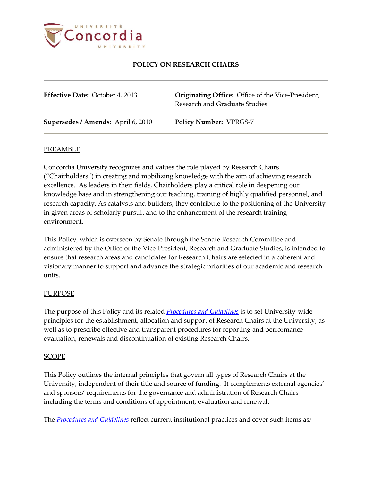

**Originating Office:** Office of the Vice-President, Research and Graduate Studies

**Supersedes / Amends:** April 6, 2010 **Policy Number:** VPRGS-7

#### PREAMBLE

Concordia University recognizes and values the role played by Research Chairs ("Chairholders") in creating and mobilizing knowledge with the aim of achieving research excellence. As leaders in their fields, Chairholders play a critical role in deepening our knowledge base and in strengthening our teaching, training of highly qualified personnel, and research capacity. As catalysts and builders, they contribute to the positioning of the University in given areas of scholarly pursuit and to the enhancement of the research training environment.

This Policy, which is overseen by Senate through the Senate Research Committee and administered by the Office of the Vice-President, Research and Graduate Studies, is intended to ensure that research areas and candidates for Research Chairs are selected in a coherent and visionary manner to support and advance the strategic priorities of our academic and research units.

#### **PURPOSE**

The purpose of this Policy and its related *Procedures [and Guidelines](https://cspace.concordia.ca/content/dam/concordia/offices/vprgs/docs/ProceduresGuidelinesResearchChairs.pdf)* is to set University-wide principles for the establishment, allocation and support of Research Chairs at the University, as well as to prescribe effective and transparent procedures for reporting and performance evaluation, renewals and discontinuation of existing Research Chairs.

#### SCOPE

This Policy outlines the internal principles that govern all types of Research Chairs at the University, independent of their title and source of funding. It complements external agencies' and sponsors' requirements for the governance and administration of Research Chairs including the terms and conditions of appointment, evaluation and renewal.

The *Procedures [and Guidelines](https://cspace.concordia.ca/content/dam/concordia/offices/vprgs/docs/ProceduresGuidelinesResearchChairs.pdf)* reflect current institutional practices and cover such items as*:*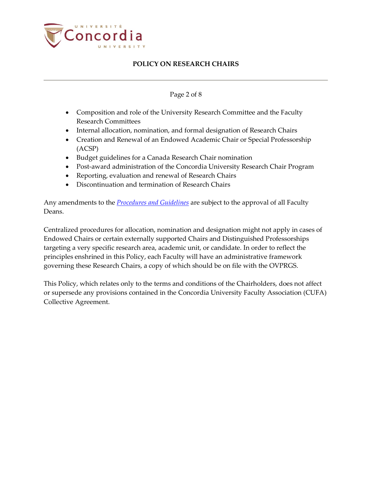

### Page 2 of 8

- Composition and role of the University Research Committee and the Faculty Research Committees
- Internal allocation, nomination, and formal designation of Research Chairs
- Creation and Renewal of an Endowed Academic Chair or Special Professorship (ACSP)
- Budget guidelines for a Canada Research Chair nomination
- Post-award administration of the Concordia University Research Chair Program
- Reporting, evaluation and renewal of Research Chairs
- Discontinuation and termination of Research Chairs

Any amendments to the *Procedures [and Guidelines](https://cspace.concordia.ca/content/dam/concordia/offices/vprgs/docs/ProceduresGuidelinesResearchChairs.pdf)* are subject to the approval of all Faculty Deans.

Centralized procedures for allocation, nomination and designation might not apply in cases of Endowed Chairs or certain externally supported Chairs and Distinguished Professorships targeting a very specific research area, academic unit, or candidate. In order to reflect the principles enshrined in this Policy, each Faculty will have an administrative framework governing these Research Chairs, a copy of which should be on file with the OVPRGS.

This Policy, which relates only to the terms and conditions of the Chairholders, does not affect or supersede any provisions contained in the Concordia University Faculty Association (CUFA) Collective Agreement.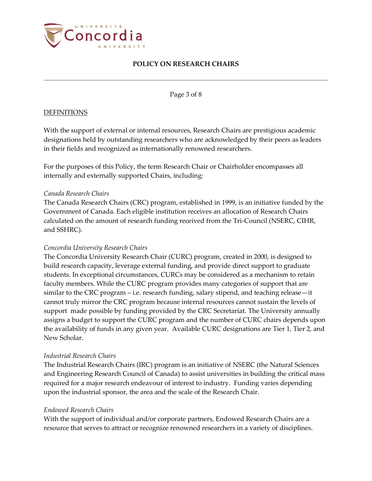

Page 3 of 8

### **DEFINITIONS**

With the support of external or internal resources, Research Chairs are prestigious academic designations held by outstanding researchers who are acknowledged by their peers as leaders in their fields and recognized as internationally renowned researchers.

For the purposes of this Policy, the term Research Chair or Chairholder encompasses all internally and externally supported Chairs, including:

### *Canada Research Chairs*

The Canada Research Chairs (CRC) program, established in 1999, is an initiative funded by the Government of Canada. Each eligible institution receives an allocation of Research Chairs calculated on the amount of research funding received from the Tri-Council (NSERC, CIHR, and SSHRC).

### *Concordia University Research Chairs*

The Concordia University Research Chair (CURC) program, created in 2000, is designed to build research capacity, leverage external funding, and provide direct support to graduate students. In exceptional circumstances, CURCs may be considered as a mechanism to retain faculty members. While the CURC program provides many categories of support that are similar to the CRC program – i.e. research funding, salary stipend, and teaching release—it cannot truly mirror the CRC program because internal resources cannot sustain the levels of support made possible by funding provided by the CRC Secretariat. The University annually assigns a budget to support the CURC program and the number of CURC chairs depends upon the availability of funds in any given year. Available CURC designations are Tier 1, Tier 2, and New Scholar.

### *Industrial Research Chairs*

The Industrial Research Chairs (IRC) program is an initiative of NSERC (the Natural Sciences and Engineering Research Council of Canada) to assist universities in building the critical mass required for a major research endeavour of interest to industry. Funding varies depending upon the industrial sponsor, the area and the scale of the Research Chair.

### *Endowed Research Chairs*

With the support of individual and/or corporate partners, Endowed Research Chairs are a resource that serves to attract or recognize renowned researchers in a variety of disciplines.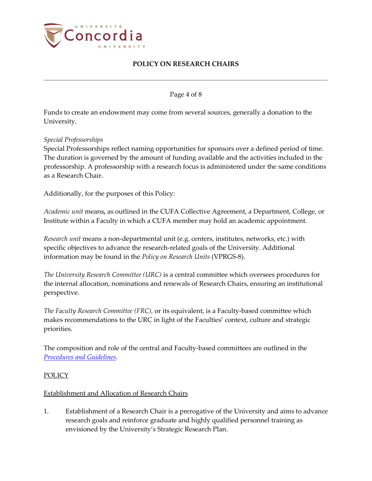

Page 4 of 8

Funds to create an endowment may come from several sources, generally a donation to the University.

*Special Professorships*

Special Professorships reflect naming opportunities for sponsors over a defined period of time. The duration is governed by the amount of funding available and the activities included in the professorship. A professorship with a research focus is administered under the same conditions as a Research Chair.

Additionally, for the purposes of this Policy:

*Academic unit* means*,* as outlined in the CUFA Collective Agreement, a Department, College, or Institute within a Faculty in which a CUFA member may hold an academic appointment.

*Research unit* means a non-departmental unit (e.g. centers, institutes, networks, etc.) with specific objectives to advance the research-related goals of the University. Additional information may be found in the *Policy on Research Units* (VPRGS-8).

*The University Research Committee (URC)* is a central committee which oversees procedures for the internal allocation, nominations and renewals of Research Chairs, ensuring an institutional perspective.

*The Faculty Research Committee (FRC),* or its equivalent, is a Faculty-based committee which makes recommendations to the URC in light of the Faculties' context, culture and strategic priorities.

The composition and role of the central and Faculty-based committees are outlined in the *[Procedures and Guidelines](https://cspace.concordia.ca/content/dam/concordia/offices/vprgs/docs/ProceduresGuidelinesResearchChairs.pdf)*.

### POLICY

### Establishment and Allocation of Research Chairs

1. Establishment of a Research Chair is a prerogative of the University and aims to advance research goals and reinforce graduate and highly qualified personnel training as envisioned by the University's Strategic Research Plan.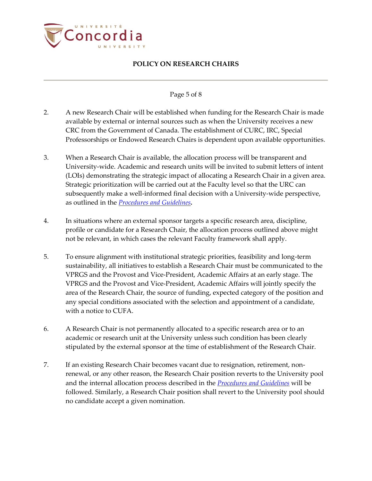

### Page 5 of 8

- 2. A new Research Chair will be established when funding for the Research Chair is made available by external or internal sources such as when the University receives a new CRC from the Government of Canada. The establishment of CURC, IRC, Special Professorships or Endowed Research Chairs is dependent upon available opportunities.
- 3. When a Research Chair is available, the allocation process will be transparent and University-wide. Academic and research units will be invited to submit letters of intent (LOIs) demonstrating the strategic impact of allocating a Research Chair in a given area. Strategic prioritization will be carried out at the Faculty level so that the URC can subsequently make a well-informed final decision with a University-wide perspective, as outlined in the *[Procedures and Guidelines](https://cspace.concordia.ca/content/dam/concordia/offices/vprgs/docs/ProceduresGuidelinesResearchChairs.pdf).*
- 4. In situations where an external sponsor targets a specific research area, discipline, profile or candidate for a Research Chair, the allocation process outlined above might not be relevant, in which cases the relevant Faculty framework shall apply.
- 5. To ensure alignment with institutional strategic priorities, feasibility and long-term sustainability, all initiatives to establish a Research Chair must be communicated to the VPRGS and the Provost and Vice-President, Academic Affairs at an early stage. The VPRGS and the Provost and Vice-President, Academic Affairs will jointly specify the area of the Research Chair, the source of funding, expected category of the position and any special conditions associated with the selection and appointment of a candidate, with a notice to CUFA.
- 6. A Research Chair is not permanently allocated to a specific research area or to an academic or research unit at the University unless such condition has been clearly stipulated by the external sponsor at the time of establishment of the Research Chair.
- 7. If an existing Research Chair becomes vacant due to resignation, retirement, nonrenewal, or any other reason, the Research Chair position reverts to the University pool and the internal allocation process described in the *[Procedures and Guidelines](https://cspace.concordia.ca/content/dam/concordia/offices/vprgs/docs/ProceduresGuidelinesResearchChairs.pdf)* will be followed. Similarly, a Research Chair position shall revert to the University pool should no candidate accept a given nomination.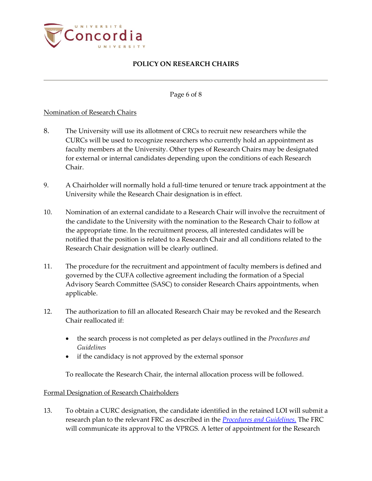

Page 6 of 8

### Nomination of Research Chairs

- 8. The University will use its allotment of CRCs to recruit new researchers while the CURCs will be used to recognize researchers who currently hold an appointment as faculty members at the University. Other types of Research Chairs may be designated for external or internal candidates depending upon the conditions of each Research Chair.
- 9. A Chairholder will normally hold a full-time tenured or tenure track appointment at the University while the Research Chair designation is in effect.
- 10. Nomination of an external candidate to a Research Chair will involve the recruitment of the candidate to the University with the nomination to the Research Chair to follow at the appropriate time. In the recruitment process, all interested candidates will be notified that the position is related to a Research Chair and all conditions related to the Research Chair designation will be clearly outlined.
- 11. The procedure for the recruitment and appointment of faculty members is defined and governed by the CUFA collective agreement including the formation of a Special Advisory Search Committee (SASC) to consider Research Chairs appointments, when applicable.
- 12. The authorization to fill an allocated Research Chair may be revoked and the Research Chair reallocated if:
	- the search process is not completed as per delays outlined in the *Procedures and Guidelines*
	- if the candidacy is not approved by the external sponsor

To reallocate the Research Chair, the internal allocation process will be followed.

### Formal Designation of Research Chairholders

13. To obtain a CURC designation, the candidate identified in the retained LOI will submit a research plan to the relevant FRC as described in the *[Procedures and Guidelines.](https://cspace.concordia.ca/content/dam/concordia/offices/vprgs/docs/ProceduresGuidelinesResearchChairs.pdf)* The FRC will communicate its approval to the VPRGS. A letter of appointment for the Research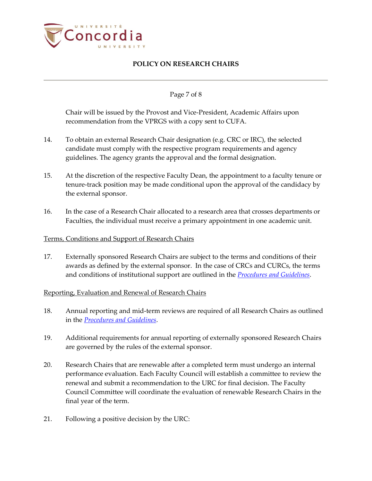

### Page 7 of 8

Chair will be issued by the Provost and Vice-President, Academic Affairs upon recommendation from the VPRGS with a copy sent to CUFA.

- 14. To obtain an external Research Chair designation (e.g. CRC or IRC), the selected candidate must comply with the respective program requirements and agency guidelines. The agency grants the approval and the formal designation.
- 15. At the discretion of the respective Faculty Dean, the appointment to a faculty tenure or tenure-track position may be made conditional upon the approval of the candidacy by the external sponsor.
- 16. In the case of a Research Chair allocated to a research area that crosses departments or Faculties, the individual must receive a primary appointment in one academic unit.

### Terms, Conditions and Support of Research Chairs

17. Externally sponsored Research Chairs are subject to the terms and conditions of their awards as defined by the external sponsor. In the case of CRCs and CURCs, the terms and conditions of institutional support are outlined in the *[Procedures and Guidelines](https://cspace.concordia.ca/content/dam/concordia/offices/vprgs/docs/ProceduresGuidelinesResearchChairs.pdf)*.

### Reporting, Evaluation and Renewal of Research Chairs

- 18. Annual reporting and mid-term reviews are required of all Research Chairs as outlined in the *[Procedures and Guidelines](https://cspace.concordia.ca/content/dam/concordia/offices/vprgs/docs/ProceduresGuidelinesResearchChairs.pdf)*.
- 19. Additional requirements for annual reporting of externally sponsored Research Chairs are governed by the rules of the external sponsor.
- 20. Research Chairs that are renewable after a completed term must undergo an internal performance evaluation. Each Faculty Council will establish a committee to review the renewal and submit a recommendation to the URC for final decision. The Faculty Council Committee will coordinate the evaluation of renewable Research Chairs in the final year of the term.
- 21. Following a positive decision by the URC: